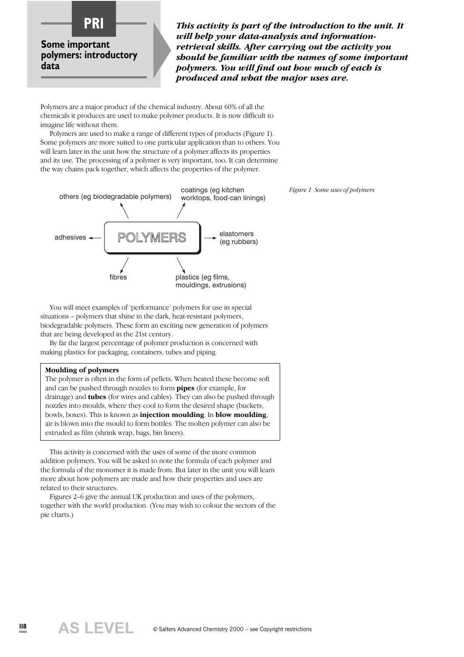

*This activity is part of the introduction to the unit. It will help your data-analysis and informationretrieval skills. After carrying out the activity you should be familiar with the names of some important polymers. You will find out how much of each is produced and what the major uses are.*

Polymers are a major product of the chemical industry. About 60% of all the chemicals it produces are used to make polymer products. It is now difficult to imagine life without them.

Polymers are used to make a range of different types of products (Figure 1). Some polymers are more suited to one particular application than to others. You will learn later in the unit how the structure of a polymer affects its properties and its use. The processing of a polymer is very important, too. It can determine the way chains pack together, which affects the properties of the polymer.



*Figure 1 Some uses of polymers*

You will meet examples of 'performance' polymers for use in special situations – polymers that shine in the dark, heat-resistant polymers, biodegradable polymers. These form an exciting new generation of polymers that are being developed in the 21st century.

By far the largest percentage of polymer production is concerned with making plastics for packaging, containers, tubes and piping.

#### **Moulding of polymers**

The polymer is often in the form of pellets. When heated these become soft and can be pushed through nozzles to form **pipes** (for example, for drainage) and **tubes** (for wires and cables). They can also be pushed through nozzles into moulds, where they cool to form the desired shape (buckets, bowls, boxes). This is known as **injection moulding**. In **blow moulding**, air is blown into the mould to form bottles. The molten polymer can also be extruded as film (shrink wrap, bags, bin liners).

This activity is concerned with the uses of some of the more common addition polymers. You will be asked to note the formula of each polymer and the formula of the monomer it is made from. But later in the unit you will learn more about how polymers are made and how their properties and uses are related to their structures.

Figures 2–6 give the annual UK production and uses of the polymers, together with the world production. (You may wish to colour the sectors of the pie charts.)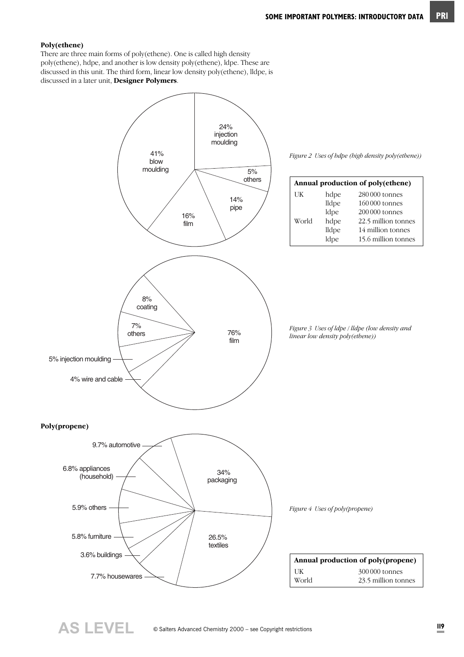#### **Poly(ethene)**

There are three main forms of poly(ethene). One is called high density poly(ethene), hdpe, and another is low density poly(ethene), ldpe. These are discussed in this unit. The third form, linear low density poly(ethene), lldpe, is discussed in a later unit, **Designer Polymers**.



**AS LEVEL**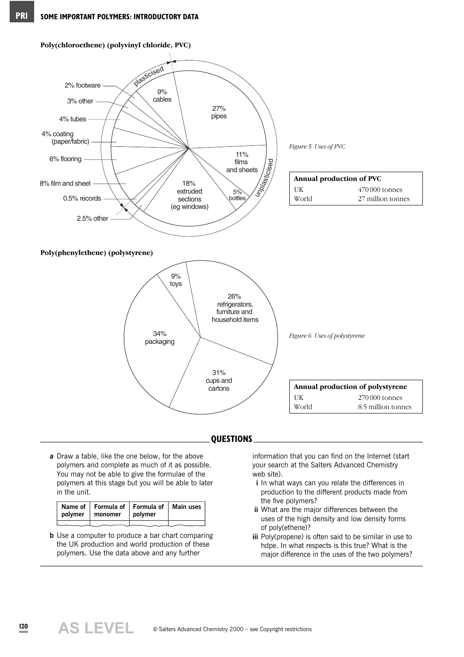

- **QUESTIONS**
- **a** Draw a table, like the one below, for the above polymers and complete as much of it as possible. You may not be able to give the formulae of the polymers at this stage but you will be able to later in the unit.

| Name of   Formula of   Formula of   Main uses<br>polymer   monomer   polymer |  |
|------------------------------------------------------------------------------|--|
|                                                                              |  |

**b** Use a computer to produce a bar chart comparing the UK production and world production of these polymers. Use the data above and any further

information that you can find on the Internet (start your search at the Salters Advanced Chemistry web site).

- **i** In what ways can you relate the differences in production to the different products made from the five polymers?
- **ii** What are the major differences between the uses of the high density and low density forms of poly(ethene)?
- **iii** Poly(propene) is often said to be similar in use to hdpe. In what respects is this true? What is the major difference in the uses of the two polymers?

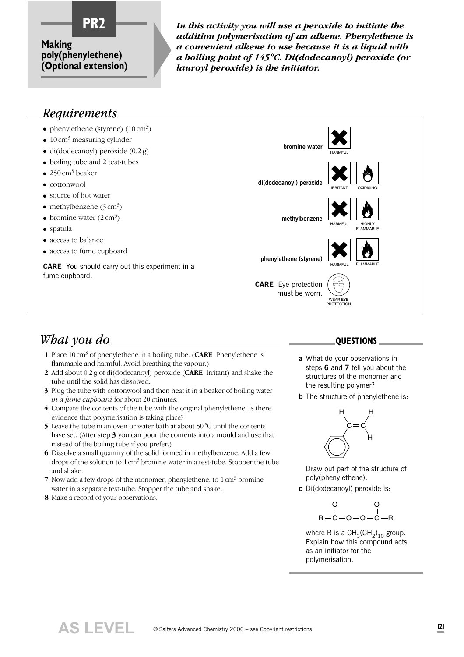

**PR2** *In this activity you will use a peroxide to initiate the addition polymerisation of an alkene. Phenylethene is a convenient alkene to use because it is a liquid with a boiling point of 145°C. Di(dodecanoyl) peroxide (or lauroyl peroxide) is the initiator.* 

#### *Requirements*

- phenylethene (styrene)  $(10 \text{ cm}^3)$
- $\bullet$  10 cm<sup>3</sup> measuring cylinder
- $\bullet$  di(dodecanoyl) peroxide (0.2 g)
- boiling tube and 2 test-tubes
- $\bullet$  250 cm<sup>3</sup> beaker
- cottonwool
- source of hot water
- methylbenzene  $(5 \text{ cm}^3)$
- bromine water  $(2 \text{ cm}^3)$
- spatula
- access to balance
- access to fume cupboard

**CARE** You should carry out this experiment in a fume cupboard.



must be worn.

*What you do*

- **1** Place 10 cm<sup>3</sup> of phenylethene in a boiling tube. (**CARE** Phenylethene is flammable and harmful. Avoid breathing the vapour.)
- **2** Add about 0.2 g of di(dodecanoyl) peroxide (**CARE** Irritant) and shake the tube until the solid has dissolved.
- **3** Plug the tube with cottonwool and then heat it in a beaker of boiling water *in a fume cupboard* for about 20 minutes.
- **4** Compare the contents of the tube with the original phenylethene. Is there evidence that polymerisation is taking place?
- **5** Leave the tube in an oven or water bath at about 50 °C until the contents have set. (After step **3** you can pour the contents into a mould and use that instead of the boiling tube if you prefer.)
- **6** Dissolve a small quantity of the solid formed in methylbenzene. Add a few drops of the solution to  $1 \text{ cm}^3$  bromine water in a test-tube. Stopper the tube and shake.
- **7** Now add a few drops of the monomer, phenylethene, to 1 cm<sup>3</sup> bromine water in a separate test-tube. Stopper the tube and shake.
- **8** Make a record of your observations.

**AS LEVEL**

#### **QUESTIONS**

WEAR EYE PROTECTION

- **a** What do your observations in steps **6** and **7** tell you about the structures of the monomer and the resulting polymer?
- **b** The structure of phenylethene is:



Draw out part of the structure of poly(phenylethene).

**c** Di(dodecanoyl) peroxide is:

$$
\begin{array}{cc}\n & 0 & 0 \\
 & \parallel & \parallel \\
R-C-O-O-C-R & \end{array}
$$

where R is a  $\mathsf{CH}_3(\mathsf{CH}_2)_{10}$  group. Explain how this compound acts as an initiator for the polymerisation.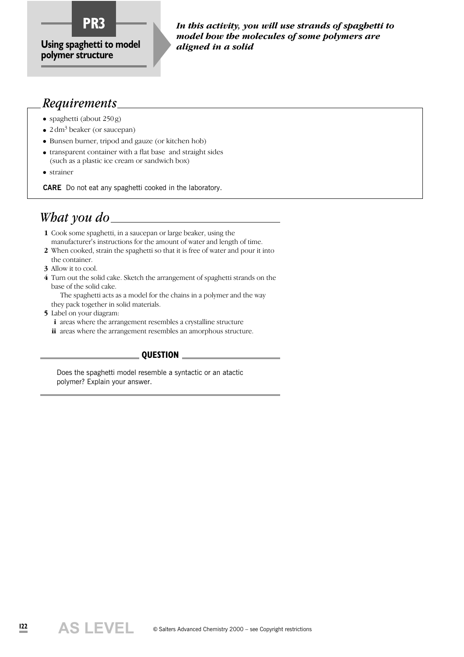

*In this activity, you will use strands of spaghetti to model how the molecules of some polymers are aligned in a solid*

#### *Requirements*

- spaghetti (about 250 g)
- $2 \text{ dm}^3$  beaker (or saucepan)
- Bunsen burner, tripod and gauze (or kitchen hob)
- transparent container with a flat base and straight sides (such as a plastic ice cream or sandwich box)
- strainer

**CARE** Do not eat any spaghetti cooked in the laboratory.

#### *What you do*

- **1** Cook some spaghetti, in a saucepan or large beaker, using the manufacturer's instructions for the amount of water and length of time.
- **2** When cooked, strain the spaghetti so that it is free of water and pour it into the container.
- **3** Allow it to cool.
- **4** Turn out the solid cake. Sketch the arrangement of spaghetti strands on the base of the solid cake.

The spaghetti acts as a model for the chains in a polymer and the way they pack together in solid materials.

- **5** Label on your diagram:
	- **i** areas where the arrangement resembles a crystalline structure
	- **ii** areas where the arrangement resembles an amorphous structure.

#### **QUESTION**

Does the spaghetti model resemble a syntactic or an atactic polymer? Explain your answer.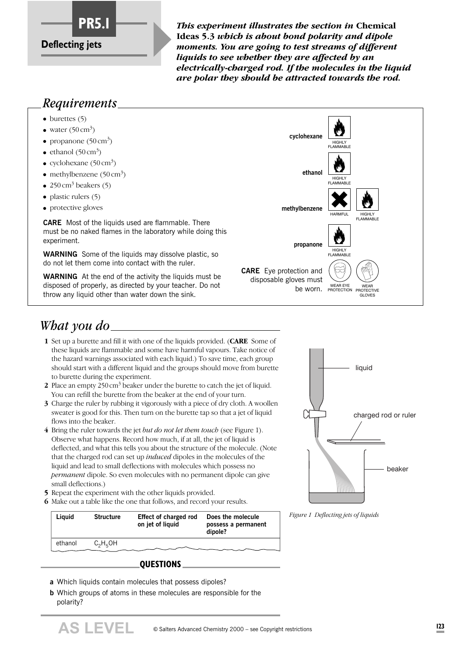

*This experiment illustrates the section in Chemical* **Ideas 5.3** *which is about bond polarity and dipole moments. You are going to test streams of different liquids to see whether they are affected by an electrically-charged rod. If the molecules in the liquid are polar they should be attracted towards the rod.*

#### *Requirements*

- $\bullet$  burettes (5)
- water  $(50 \text{ cm}^3)$
- propanone  $(50 \text{ cm}^3)$
- ethanol  $(50 \text{ cm}^3)$
- cyclohexane  $(50 \text{ cm}^3)$
- methylbenzene  $(50 \text{ cm}^3)$
- 250 cm<sup>3</sup> beakers (5)
- $\bullet$  plastic rulers (5)
- protective gloves

**CARE** Most of the liquids used are flammable. There must be no naked flames in the laboratory while doing this experiment.

**WARNING** Some of the liquids may dissolve plastic, so do not let them come into contact with the ruler.

**WARNING** At the end of the activity the liquids must be disposed of properly, as directed by your teacher. Do not throw any liquid other than water down the sink.



# *What you do*

- **1** Set up a burette and fill it with one of the liquids provided. (**CARE** Some of these liquids are flammable and some have harmful vapours. Take notice of the hazard warnings associated with each liquid.) To save time, each group should start with a different liquid and the groups should move from burette to burette during the experiment.
- **2** Place an empty 250 cm<sup>3</sup> beaker under the burette to catch the jet of liquid. You can refill the burette from the beaker at the end of your turn.
- **3** Charge the ruler by rubbing it vigorously with a piece of dry cloth. A woollen sweater is good for this. Then turn on the burette tap so that a jet of liquid flows into the beaker.
- **4** Bring the ruler towards the jet *but do not let them touch* (see Figure 1). Observe what happens. Record how much, if at all, the jet of liquid is deflected, and what this tells you about the structure of the molecule. (Note that the charged rod can set up *induced* dipoles in the molecules of the liquid and lead to small deflections with molecules which possess no *permanent* dipole. So even molecules with no permanent dipole can give small deflections.)
- **5** Repeat the experiment with the other liquids provided.
- **6** Make out a table like the one that follows, and record your results.

| <b>Structure</b> | Effect of charged rod<br>on jet of liquid | Does the molecule<br>possess a permanent<br>dipole? |
|------------------|-------------------------------------------|-----------------------------------------------------|
| $C_2H_5OH$       |                                           |                                                     |
|                  |                                           |                                                     |

#### **QUESTIONS**

- **a** Which liquids contain molecules that possess dipoles?
- **b** Which groups of atoms in these molecules are responsible for the polarity?



*Figure 1 Deflecting jets of liquids*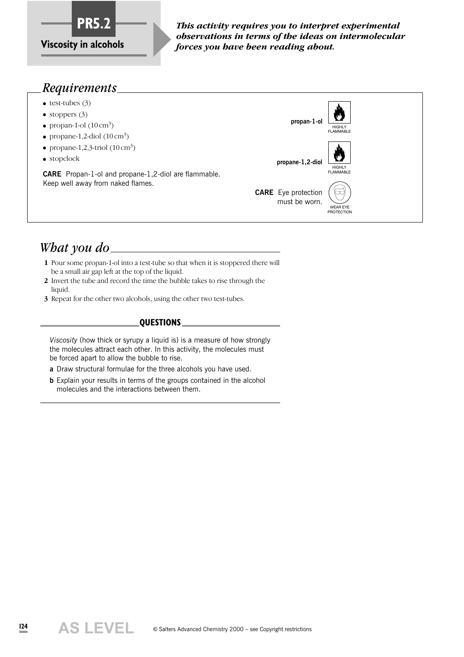

*This activity requires you to interpret experimental observations in terms of the ideas on intermolecular forces you have been reading about.*

#### *Requirements*

- $\bullet$  test-tubes (3)
- stoppers  $(3)$
- propan-1-ol  $(10 \text{ cm}^3)$
- propane-1,2-diol  $(10 \text{ cm}^3)$
- propane-1,2,3-triol  $(10 \text{ cm}^3)$
- stopclock

**CARE** Propan-1-ol and propane-1,2-diol are flammable. Keep well away from naked flames.



# *What you do*

- **1** Pour some propan-1-ol into a test-tube so that when it is stoppered there will be a small air gap left at the top of the liquid.
- **2** Invert the tube and record the time the bubble takes to rise through the liquid.
- **3** Repeat for the other two alcohols, using the other two test-tubes.

#### **QUESTIONS**

*Viscosity* (how thick or syrupy a liquid is) is a measure of how strongly the molecules attract each other. In this activity, the molecules must be forced apart to allow the bubble to rise.

- **a** Draw structural formulae for the three alcohols you have used.
- **b** Explain your results in terms of the groups contained in the alcohol molecules and the interactions between them.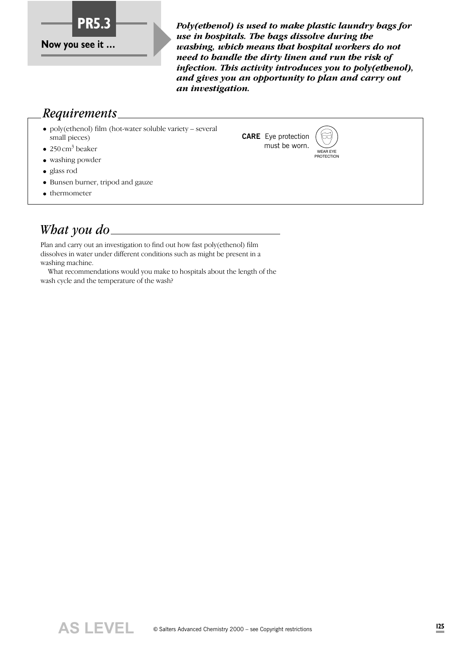

*Poly(ethenol) is used to make plastic laundry bags for use in hospitals. The bags dissolve during the washing, which means that hospital workers do not need to handle the dirty linen and run the risk of infection. This activity introduces you to poly(ethenol), and gives you an opportunity to plan and carry out an investigation.*

> **CARE** Eye protection must be worn.

WEAR EYE **PROTECTION** 

#### *Requirements*

● poly(ethenol) film (hot-water soluble variety – several small pieces)

 $\bullet$  250 cm<sup>3</sup> beaker

- washing powder
- glass rod
- Bunsen burner, tripod and gauze
- thermometer

# *What you do*

Plan and carry out an investigation to find out how fast poly(ethenol) film dissolves in water under different conditions such as might be present in a washing machine.

What recommendations would you make to hospitals about the length of the wash cycle and the temperature of the wash?

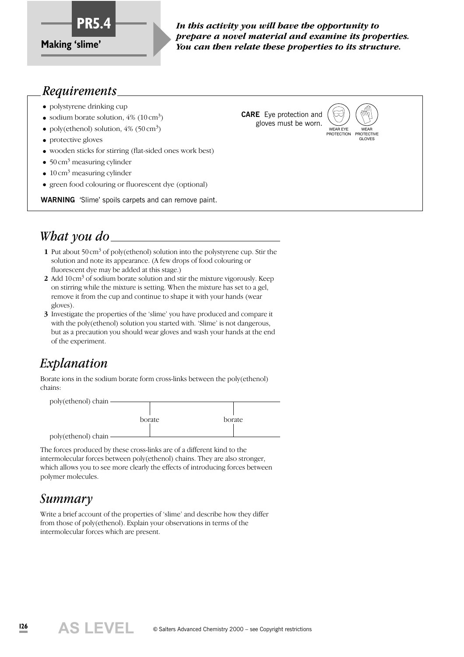

*In this activity you will have the opportunity to prepare a novel material and examine its properties. You can then relate these properties to its structure.*

#### *Requirements*

- polystyrene drinking cup
- sodium borate solution,  $4\%$  (10 cm<sup>3</sup>)
- poly(ethenol) solution,  $4\%$  (50 cm<sup>3</sup>)
- protective gloves
- wooden sticks for stirring (flat-sided ones work best)
- $50 \text{ cm}^3$  measuring cylinder
- $\bullet$  10 cm<sup>3</sup> measuring cylinder
- green food colouring or fluorescent dye (optional)

**WARNING** 'Slime' spoils carpets and can remove paint.

# *What you do*

- **1** Put about 50 cm<sup>3</sup> of poly(ethenol) solution into the polystyrene cup. Stir the solution and note its appearance. (A few drops of food colouring or fluorescent dye may be added at this stage.)
- **2** Add 10cm<sup>3</sup> of sodium borate solution and stir the mixture vigorously. Keep on stirring while the mixture is setting. When the mixture has set to a gel, remove it from the cup and continue to shape it with your hands (wear gloves).
- **3** Investigate the properties of the 'slime' you have produced and compare it with the poly(ethenol) solution you started with. 'Slime' is not dangerous, but as a precaution you should wear gloves and wash your hands at the end of the experiment.

# *Explanation*

Borate ions in the sodium borate form cross-links between the poly(ethenol) chains:



The forces produced by these cross-links are of a different kind to the intermolecular forces between poly(ethenol) chains. They are also stronger, which allows you to see more clearly the effects of introducing forces between polymer molecules.

#### *Summary*

Write a brief account of the properties of 'slime' and describe how they differ from those of poly(ethenol). Explain your observations in terms of the intermolecular forces which are present.





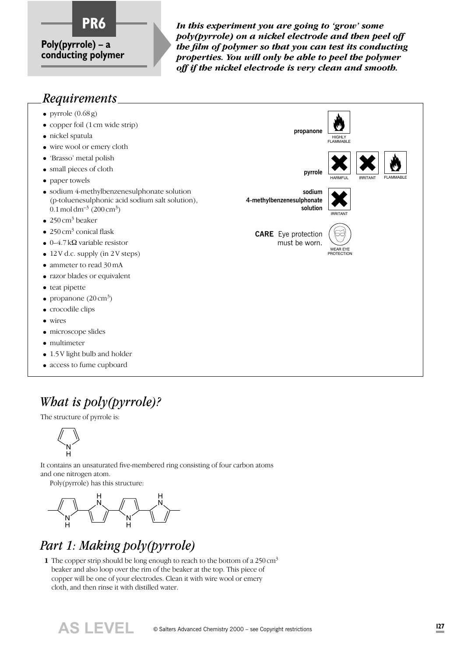# **Poly(pyrrole) – a**

**conducting polymer**

In this experiment you are going to 'grow' some *poly(pyrrole) on a nickel electrode and then peel off the film of polymer so that you can test its conducting properties. You will only be able to peel the polymer off if the nickel electrode is very clean and smooth.*

# *Requirements*



# *What is poly(pyrrole)?*

The structure of pyrrole is:



It contains an unsaturated five-membered ring consisting of four carbon atoms and one nitrogen atom.

Poly(pyrrole) has this structure:



# *Part 1: Making poly(pyrrole)*

**1** The copper strip should be long enough to reach to the bottom of a 250 cm<sup>3</sup> beaker and also loop over the rim of the beaker at the top. This piece of copper will be one of your electrodes. Clean it with wire wool or emery cloth, and then rinse it with distilled water.

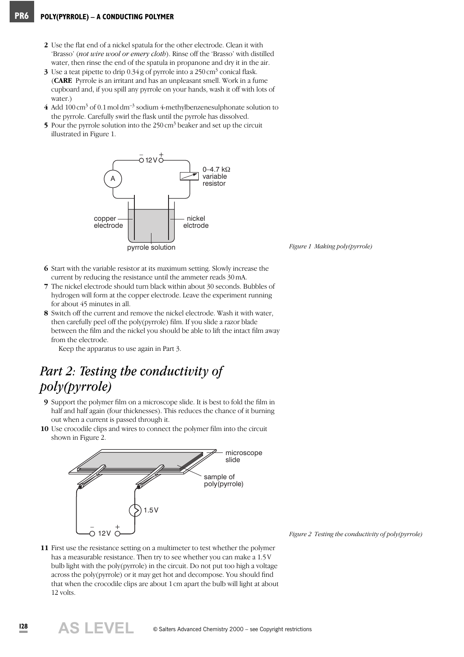- **2** Use the flat end of a nickel spatula for the other electrode. Clean it with 'Brasso' (*not wire wool or emery cloth*). Rinse off the 'Brasso' with distilled water, then rinse the end of the spatula in propanone and dry it in the air.
- **3** Use a teat pipette to drip  $0.34$  g of pyrrole into a  $250 \text{ cm}^3$  conical flask. (**CARE** Pyrrole is an irritant and has an unpleasant smell. Work in a fume cupboard and, if you spill any pyrrole on your hands, wash it off with lots of water.)
- **4** Add 100 cm<sup>3</sup> of 0.1 mol dm–3 sodium 4-methylbenzenesulphonate solution to the pyrrole. Carefully swirl the flask until the pyrrole has dissolved.
- **5** Pour the pyrrole solution into the 250 cm<sup>3</sup> beaker and set up the circuit illustrated in Figure 1.



*Figure 1 Making poly(pyrrole)*

- **6** Start with the variable resistor at its maximum setting. Slowly increase the current by reducing the resistance until the ammeter reads 30 mA.
- **7** The nickel electrode should turn black within about 30 seconds. Bubbles of hydrogen will form at the copper electrode. Leave the experiment running for about 45 minutes in all.
- **8** Switch off the current and remove the nickel electrode. Wash it with water, then carefully peel off the poly(pyrrole) film. If you slide a razor blade between the film and the nickel you should be able to lift the intact film away from the electrode.

Keep the apparatus to use again in Part 3.

# *Part 2: Testing the conductivity of poly(pyrrole)*

- **9** Support the polymer film on a microscope slide. It is best to fold the film in half and half again (four thicknesses). This reduces the chance of it burning out when a current is passed through it.
- **10** Use crocodile clips and wires to connect the polymer film into the circuit shown in Figure 2.



*Figure 2 Testing the conductivity of poly(pyrrole)*

**11** First use the resistance setting on a multimeter to test whether the polymer has a measurable resistance. Then try to see whether you can make a 1.5 V bulb light with the poly(pyrrole) in the circuit. Do not put too high a voltage across the poly(pyrrole) or it may get hot and decompose. You should find that when the crocodile clips are about 1 cm apart the bulb will light at about 12 volts.

**AS LEVEL**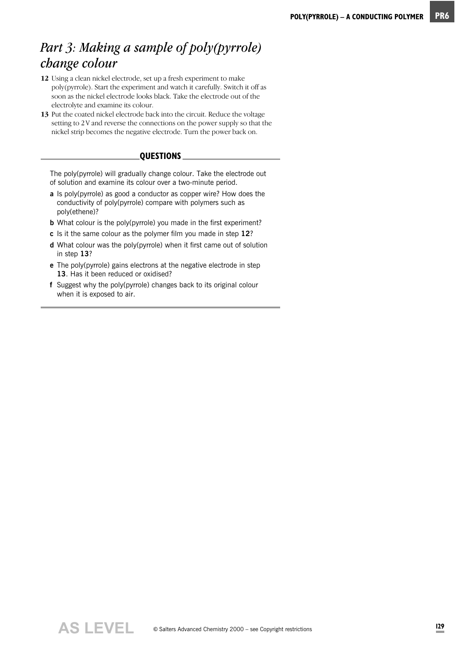#### *Part 3: Making a sample of poly(pyrrole) change colour*

- **12** Using a clean nickel electrode, set up a fresh experiment to make poly(pyrrole). Start the experiment and watch it carefully. Switch it off as soon as the nickel electrode looks black. Take the electrode out of the electrolyte and examine its colour.
- **13** Put the coated nickel electrode back into the circuit. Reduce the voltage setting to 2V and reverse the connections on the power supply so that the nickel strip becomes the negative electrode. Turn the power back on.

#### **QUESTIONS**

The poly(pyrrole) will gradually change colour. Take the electrode out of solution and examine its colour over a two-minute period.

- **a** Is poly(pyrrole) as good a conductor as copper wire? How does the conductivity of poly(pyrrole) compare with polymers such as poly(ethene)?
- **b** What colour is the poly(pyrrole) you made in the first experiment?
- **c** Is it the same colour as the polymer film you made in step **12**?
- **d** What colour was the poly(pyrrole) when it first came out of solution in step **13**?
- **e** The poly(pyrrole) gains electrons at the negative electrode in step **13**. Has it been reduced or oxidised?
- **f** Suggest why the poly(pyrrole) changes back to its original colour when it is exposed to air.